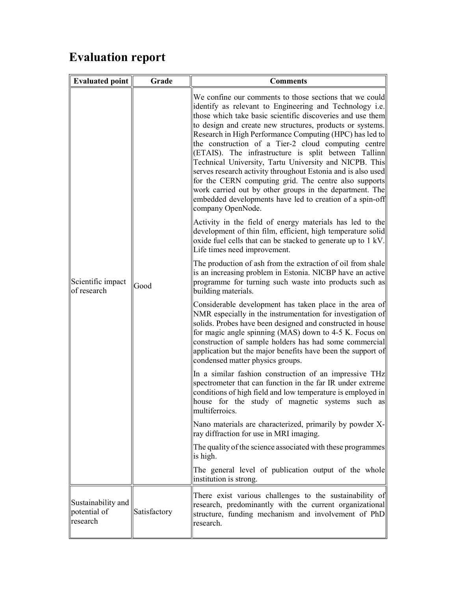## Evaluation report

| <b>Evaluated point</b>                         | Grade        | <b>Comments</b>                                                                                                                                                                                                                                                                                                                                                                                                                                                                                                                                                                                                                                                                                                                                        |
|------------------------------------------------|--------------|--------------------------------------------------------------------------------------------------------------------------------------------------------------------------------------------------------------------------------------------------------------------------------------------------------------------------------------------------------------------------------------------------------------------------------------------------------------------------------------------------------------------------------------------------------------------------------------------------------------------------------------------------------------------------------------------------------------------------------------------------------|
| Scientific impact<br>of research               | Good         | We confine our comments to those sections that we could<br>identify as relevant to Engineering and Technology i.e.<br>those which take basic scientific discoveries and use them<br>to design and create new structures, products or systems.<br>Research in High Performance Computing (HPC) has led to<br>the construction of a Tier-2 cloud computing centre<br>(ETAIS). The infrastructure is split between Tallinn<br>Technical University, Tartu University and NICPB. This<br>serves research activity throughout Estonia and is also used<br>for the CERN computing grid. The centre also supports<br>work carried out by other groups in the department. The<br>embedded developments have led to creation of a spin-off<br>company OpenNode. |
|                                                |              | Activity in the field of energy materials has led to the<br>development of thin film, efficient, high temperature solid<br>oxide fuel cells that can be stacked to generate up to 1 kV.<br>Life times need improvement.                                                                                                                                                                                                                                                                                                                                                                                                                                                                                                                                |
|                                                |              | The production of ash from the extraction of oil from shale<br>is an increasing problem in Estonia. NICBP have an active<br>programme for turning such waste into products such as<br>building materials.                                                                                                                                                                                                                                                                                                                                                                                                                                                                                                                                              |
|                                                |              | Considerable development has taken place in the area of<br>NMR especially in the instrumentation for investigation of<br>solids. Probes have been designed and constructed in house<br>for magic angle spinning (MAS) down to 4-5 K. Focus on<br>construction of sample holders has had some commercial<br>application but the major benefits have been the support of<br>condensed matter physics groups.                                                                                                                                                                                                                                                                                                                                             |
|                                                |              | In a similar fashion construction of an impressive THz<br>spectrometer that can function in the far IR under extreme<br>conditions of high field and low temperature is employed in<br>house for the study of magnetic systems such as<br>multiferroics.                                                                                                                                                                                                                                                                                                                                                                                                                                                                                               |
|                                                |              | Nano materials are characterized, primarily by powder X-<br>ray diffraction for use in MRI imaging.                                                                                                                                                                                                                                                                                                                                                                                                                                                                                                                                                                                                                                                    |
|                                                |              | The quality of the science associated with these programmes<br>is high.                                                                                                                                                                                                                                                                                                                                                                                                                                                                                                                                                                                                                                                                                |
|                                                |              | The general level of publication output of the whole<br>institution is strong.                                                                                                                                                                                                                                                                                                                                                                                                                                                                                                                                                                                                                                                                         |
| Sustainability and<br>potential of<br>research | Satisfactory | There exist various challenges to the sustainability of<br>research, predominantly with the current organizational<br>structure, funding mechanism and involvement of PhD<br>research.                                                                                                                                                                                                                                                                                                                                                                                                                                                                                                                                                                 |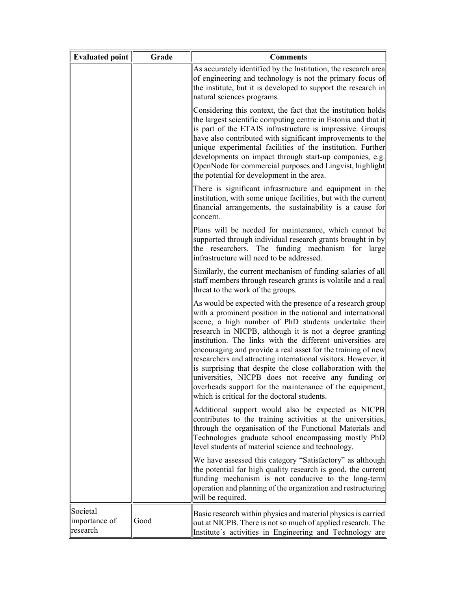| Evaluated point                       | Grade | <b>Comments</b>                                                                                                                                                                                                                                                                                                                                                                                                                                                                                                                                                                                                                                                               |
|---------------------------------------|-------|-------------------------------------------------------------------------------------------------------------------------------------------------------------------------------------------------------------------------------------------------------------------------------------------------------------------------------------------------------------------------------------------------------------------------------------------------------------------------------------------------------------------------------------------------------------------------------------------------------------------------------------------------------------------------------|
|                                       |       | As accurately identified by the Institution, the research area<br>of engineering and technology is not the primary focus of<br>the institute, but it is developed to support the research in<br>natural sciences programs.                                                                                                                                                                                                                                                                                                                                                                                                                                                    |
|                                       |       | Considering this context, the fact that the institution holds<br>the largest scientific computing centre in Estonia and that it<br>is part of the ETAIS infrastructure is impressive. Groups<br>have also contributed with significant improvements to the<br>unique experimental facilities of the institution. Further<br>developments on impact through start-up companies, e.g.<br>OpenNode for commercial purposes and Lingvist, highlight<br>the potential for development in the area.                                                                                                                                                                                 |
|                                       |       | There is significant infrastructure and equipment in the<br>institution, with some unique facilities, but with the current<br>financial arrangements, the sustainability is a cause for<br>concern.                                                                                                                                                                                                                                                                                                                                                                                                                                                                           |
|                                       |       | Plans will be needed for maintenance, which cannot be<br>supported through individual research grants brought in by<br>the researchers. The funding mechanism for large<br>infrastructure will need to be addressed.                                                                                                                                                                                                                                                                                                                                                                                                                                                          |
|                                       |       | Similarly, the current mechanism of funding salaries of all<br>staff members through research grants is volatile and a real<br>threat to the work of the groups.                                                                                                                                                                                                                                                                                                                                                                                                                                                                                                              |
|                                       |       | As would be expected with the presence of a research group<br>with a prominent position in the national and international<br>scene, a high number of PhD students undertake their<br>research in NICPB, although it is not a degree granting<br>institution. The links with the different universities are<br>encouraging and provide a real asset for the training of new<br>researchers and attracting international visitors. However, it<br>is surprising that despite the close collaboration with the<br>universities, NICPB does not receive any funding or<br>overheads support for the maintenance of the equipment,<br>which is critical for the doctoral students. |
|                                       |       | Additional support would also be expected as NICPB<br>contributes to the training activities at the universities,<br>through the organisation of the Functional Materials and<br>Technologies graduate school encompassing mostly PhD<br>level students of material science and technology.                                                                                                                                                                                                                                                                                                                                                                                   |
|                                       |       | We have assessed this category "Satisfactory" as although<br>the potential for high quality research is good, the current<br>funding mechanism is not conducive to the long-term<br>operation and planning of the organization and restructuring<br>will be required.                                                                                                                                                                                                                                                                                                                                                                                                         |
| Societal<br>importance of<br>research | Good  | Basic research within physics and material physics is carried<br>out at NICPB. There is not so much of applied research. The<br>Institute's activities in Engineering and Technology are                                                                                                                                                                                                                                                                                                                                                                                                                                                                                      |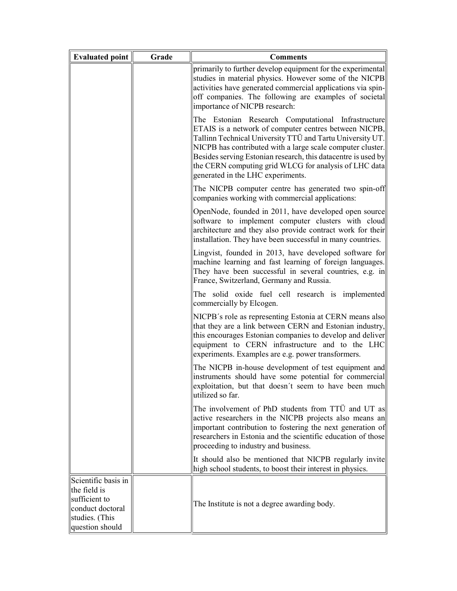| <b>Evaluated point</b>                                                                                        | Grade | <b>Comments</b>                                                                                                                                                                                                                                                                                                                                                                                       |
|---------------------------------------------------------------------------------------------------------------|-------|-------------------------------------------------------------------------------------------------------------------------------------------------------------------------------------------------------------------------------------------------------------------------------------------------------------------------------------------------------------------------------------------------------|
|                                                                                                               |       | primarily to further develop equipment for the experimental<br>studies in material physics. However some of the NICPB<br>activities have generated commercial applications via spin-<br>off companies. The following are examples of societal<br>importance of NICPB research:                                                                                                                        |
|                                                                                                               |       | The Estonian Research Computational Infrastructure<br>ETAIS is a network of computer centres between NICPB,<br>Tallinn Technical University TTÜ and Tartu University UT.<br>NICPB has contributed with a large scale computer cluster.<br>Besides serving Estonian research, this datacentre is used by<br>the CERN computing grid WLCG for analysis of LHC data<br>generated in the LHC experiments. |
|                                                                                                               |       | The NICPB computer centre has generated two spin-off<br>companies working with commercial applications:                                                                                                                                                                                                                                                                                               |
|                                                                                                               |       | OpenNode, founded in 2011, have developed open source<br>software to implement computer clusters with cloud<br>architecture and they also provide contract work for their<br>installation. They have been successful in many countries.                                                                                                                                                               |
|                                                                                                               |       | Lingvist, founded in 2013, have developed software for<br>machine learning and fast learning of foreign languages.<br>They have been successful in several countries, e.g. in<br>France, Switzerland, Germany and Russia.                                                                                                                                                                             |
|                                                                                                               |       | The solid oxide fuel cell research is implemented<br>commercially by Elcogen.                                                                                                                                                                                                                                                                                                                         |
|                                                                                                               |       | NICPB's role as representing Estonia at CERN means also<br>that they are a link between CERN and Estonian industry,<br>this encourages Estonian companies to develop and deliver<br>equipment to CERN infrastructure and to the LHC<br>experiments. Examples are e.g. power transformers.                                                                                                             |
|                                                                                                               |       | The NICPB in-house development of test equipment and<br>instruments should have some potential for commercial<br>exploitation, but that doesn't seem to have been much<br>utilized so far.                                                                                                                                                                                                            |
|                                                                                                               |       | The involvement of PhD students from TTÜ and UT as<br>active researchers in the NICPB projects also means an<br>important contribution to fostering the next generation of<br>researchers in Estonia and the scientific education of those<br>proceeding to industry and business.                                                                                                                    |
|                                                                                                               |       | It should also be mentioned that NICPB regularly invite<br>high school students, to boost their interest in physics.                                                                                                                                                                                                                                                                                  |
| Scientific basis in<br>the field is<br>sufficient to<br>conduct doctoral<br>studies. (This<br>question should |       | The Institute is not a degree awarding body.                                                                                                                                                                                                                                                                                                                                                          |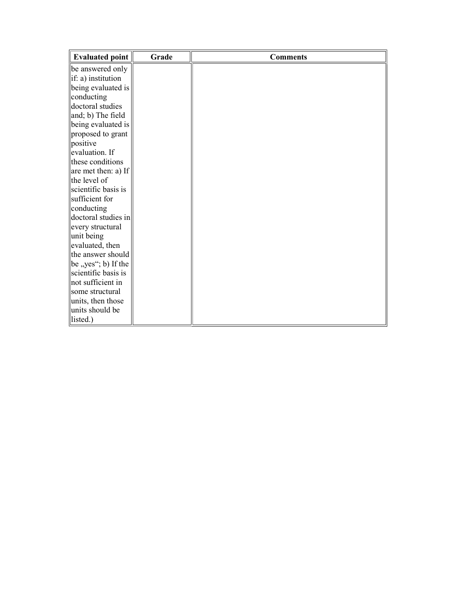| Evaluated point                                              | Grade | <b>Comments</b> |
|--------------------------------------------------------------|-------|-----------------|
| be answered only                                             |       |                 |
| $\left\  \text{if: a} \right\ $ institution                  |       |                 |
| being evaluated is                                           |       |                 |
| conducting                                                   |       |                 |
| doctoral studies                                             |       |                 |
| and; b) The field                                            |       |                 |
| being evaluated is                                           |       |                 |
| proposed to grant                                            |       |                 |
| positive                                                     |       |                 |
| evaluation. If                                               |       |                 |
| these conditions                                             |       |                 |
| $\left  \right $ are met then: a) If                         |       |                 |
| the level of                                                 |       |                 |
| scientific basis is                                          |       |                 |
| sufficient for                                               |       |                 |
| conducting                                                   |       |                 |
| doctoral studies in                                          |       |                 |
| every structural                                             |       |                 |
| unit being                                                   |       |                 |
| evaluated, then                                              |       |                 |
| the answer should                                            |       |                 |
| $\left\  \text{be }, \text{yes''}; \text{b} \right\ $ If the |       |                 |
| scientific basis is                                          |       |                 |
| not sufficient in                                            |       |                 |
| some structural                                              |       |                 |
| units, then those                                            |       |                 |
| units should be                                              |       |                 |
| listed.)                                                     |       |                 |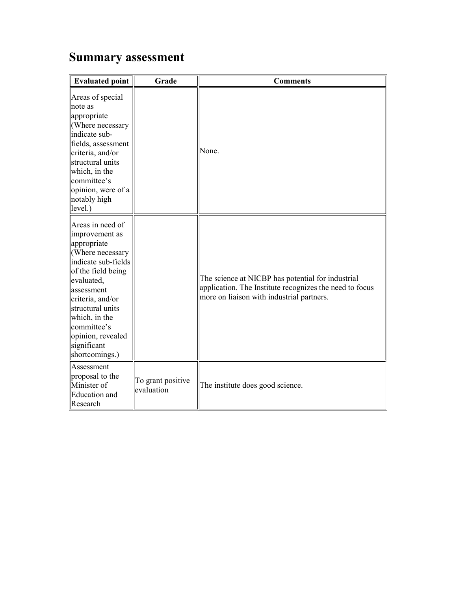## Summary assessment

| <b>Evaluated point</b>                                                                                                                                                                                                                                                       | Grade                           | <b>Comments</b>                                                                                                                                           |
|------------------------------------------------------------------------------------------------------------------------------------------------------------------------------------------------------------------------------------------------------------------------------|---------------------------------|-----------------------------------------------------------------------------------------------------------------------------------------------------------|
| Areas of special<br>note as<br>appropriate<br>(Where necessary<br>indicate sub-<br>fields, assessment<br>criteria, and/or<br>structural units<br>which, in the<br>committee's<br>opinion, were of a<br>notably high<br>level.)                                               |                                 | None.                                                                                                                                                     |
| Areas in need of<br>improvement as<br>appropriate<br>(Where necessary<br>indicate sub-fields<br>of the field being<br>evaluated,<br>assessment<br>criteria, and/or<br>structural units<br>which, in the<br>committee's<br>opinion, revealed<br>significant<br>shortcomings.) |                                 | The science at NICBP has potential for industrial<br>application. The Institute recognizes the need to focus<br>more on liaison with industrial partners. |
| Assessment<br>proposal to the<br>Minister of<br><b>Education</b> and<br>Research                                                                                                                                                                                             | To grant positive<br>evaluation | The institute does good science.                                                                                                                          |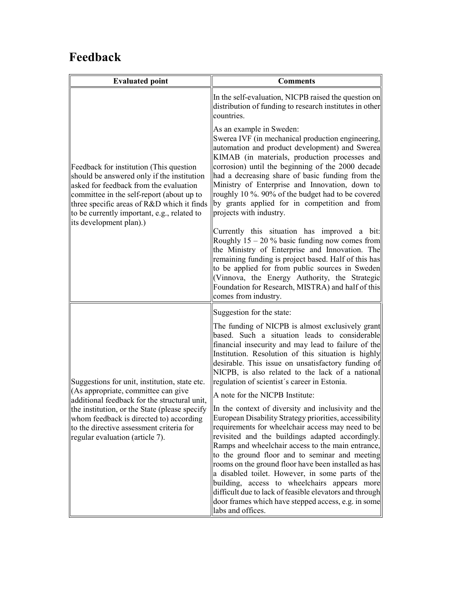## Feedback

| <b>Evaluated point</b>                                                                                                                                                                                                                                                                                          | <b>Comments</b>                                                                                                                                                                                                                                                                                                                                                                                                                                                                                                                                                                                                                  |
|-----------------------------------------------------------------------------------------------------------------------------------------------------------------------------------------------------------------------------------------------------------------------------------------------------------------|----------------------------------------------------------------------------------------------------------------------------------------------------------------------------------------------------------------------------------------------------------------------------------------------------------------------------------------------------------------------------------------------------------------------------------------------------------------------------------------------------------------------------------------------------------------------------------------------------------------------------------|
|                                                                                                                                                                                                                                                                                                                 | In the self-evaluation, NICPB raised the question on<br>distribution of funding to research institutes in other<br>countries.                                                                                                                                                                                                                                                                                                                                                                                                                                                                                                    |
| Feedback for institution (This question<br>should be answered only if the institution<br>asked for feedback from the evaluation<br>committee in the self-report (about up to<br>three specific areas of R&D which it finds<br>to be currently important, e.g., related to<br>its development plan).)            | As an example in Sweden:<br>Swerea IVF (in mechanical production engineering,<br>automation and product development) and Swerea<br>KIMAB (in materials, production processes and<br>corrosion) until the beginning of the 2000 decade<br>had a decreasing share of basic funding from the<br>Ministry of Enterprise and Innovation, down to<br>roughly 10 %. 90% of the budget had to be covered<br>by grants applied for in competition and from<br>projects with industry.                                                                                                                                                     |
|                                                                                                                                                                                                                                                                                                                 | Currently this situation has improved a bit:<br>Roughly $15 - 20$ % basic funding now comes from<br>the Ministry of Enterprise and Innovation. The<br>remaining funding is project based. Half of this has<br>to be applied for from public sources in Sweden<br>(Vinnova, the Energy Authority, the Strategic<br>Foundation for Research, MISTRA) and half of this<br>comes from industry.                                                                                                                                                                                                                                      |
| Suggestions for unit, institution, state etc.<br>(As appropriate, committee can give<br>additional feedback for the structural unit,<br>the institution, or the State (please specify<br>whom feedback is directed to) according<br>to the directive assessment criteria for<br>regular evaluation (article 7). | Suggestion for the state:                                                                                                                                                                                                                                                                                                                                                                                                                                                                                                                                                                                                        |
|                                                                                                                                                                                                                                                                                                                 | The funding of NICPB is almost exclusively grant<br>based. Such a situation leads to considerable<br>financial insecurity and may lead to failure of the<br>Institution. Resolution of this situation is highly<br>desirable. This issue on unsatisfactory funding of<br>NICPB, is also related to the lack of a national<br>regulation of scientist's career in Estonia.                                                                                                                                                                                                                                                        |
|                                                                                                                                                                                                                                                                                                                 | A note for the NICPB Institute:                                                                                                                                                                                                                                                                                                                                                                                                                                                                                                                                                                                                  |
|                                                                                                                                                                                                                                                                                                                 | In the context of diversity and inclusivity and the<br>European Disability Strategy priorities, accessibility<br>requirements for wheelchair access may need to be<br>revisited and the buildings adapted accordingly.<br>Ramps and wheelchair access to the main entrance,<br>to the ground floor and to seminar and meeting<br>rooms on the ground floor have been installed as has<br>a disabled toilet. However, in some parts of the<br>building, access to wheelchairs appears more<br>difficult due to lack of feasible elevators and through<br>door frames which have stepped access, e.g. in some<br>labs and offices. |